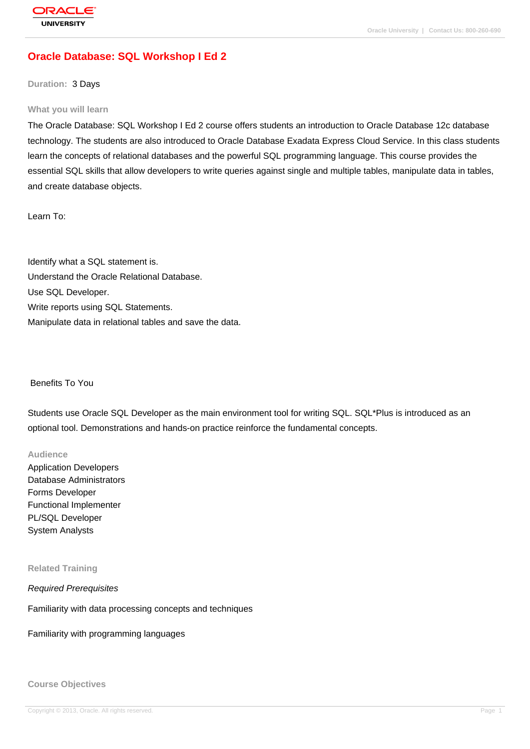# **[Oracle Databas](http://education.oracle.com/pls/web_prod-plq-dad/db_pages.getpage?page_id=3)e: SQL Workshop I Ed 2**

**Duration:** 3 Days

#### **What you will learn**

The Oracle Database: SQL Workshop I Ed 2 course offers students an introduction to Oracle Database 12c database technology. The students are also introduced to Oracle Database Exadata Express Cloud Service. In this class students learn the concepts of relational databases and the powerful SQL programming language. This course provides the essential SQL skills that allow developers to write queries against single and multiple tables, manipulate data in tables, and create database objects.

Learn To:

Identify what a SQL statement is. Understand the Oracle Relational Database. Use SQL Developer. Write reports using SQL Statements. Manipulate data in relational tables and save the data.

### Benefits To You

Students use Oracle SQL Developer as the main environment tool for writing SQL. SQL\*Plus is introduced as an optional tool. Demonstrations and hands-on practice reinforce the fundamental concepts.

#### **Audience**

Application Developers Database Administrators Forms Developer Functional Implementer PL/SQL Developer System Analysts

### **Related Training**

Required Prerequisites

Familiarity with data processing concepts and techniques

Familiarity with programming languages

#### **Course Objectives**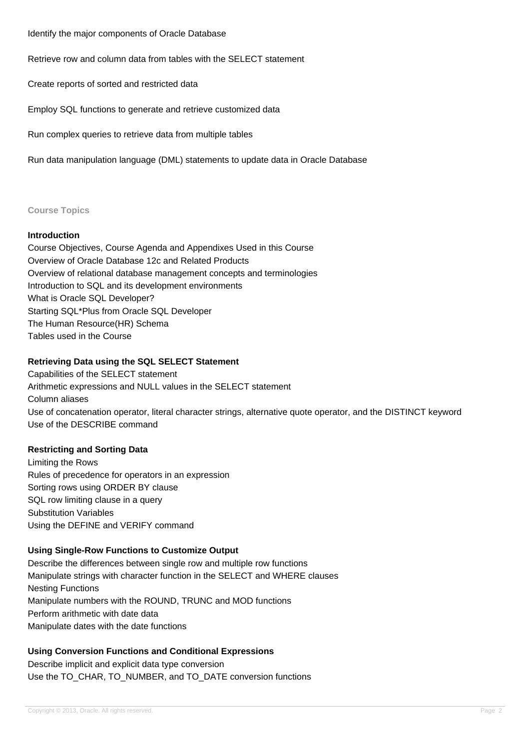Identify the major components of Oracle Database

Retrieve row and column data from tables with the SELECT statement

Create reports of sorted and restricted data

Employ SQL functions to generate and retrieve customized data

Run complex queries to retrieve data from multiple tables

Run data manipulation language (DML) statements to update data in Oracle Database

### **Course Topics**

### **Introduction**

Course Objectives, Course Agenda and Appendixes Used in this Course Overview of Oracle Database 12c and Related Products Overview of relational database management concepts and terminologies Introduction to SQL and its development environments What is Oracle SQL Developer? Starting SQL\*Plus from Oracle SQL Developer The Human Resource(HR) Schema Tables used in the Course

## **Retrieving Data using the SQL SELECT Statement**

Capabilities of the SELECT statement Arithmetic expressions and NULL values in the SELECT statement Column aliases Use of concatenation operator, literal character strings, alternative quote operator, and the DISTINCT keyword Use of the DESCRIBE command

### **Restricting and Sorting Data**

Limiting the Rows Rules of precedence for operators in an expression Sorting rows using ORDER BY clause SQL row limiting clause in a query Substitution Variables Using the DEFINE and VERIFY command

# **Using Single-Row Functions to Customize Output**

Describe the differences between single row and multiple row functions Manipulate strings with character function in the SELECT and WHERE clauses Nesting Functions Manipulate numbers with the ROUND, TRUNC and MOD functions Perform arithmetic with date data Manipulate dates with the date functions

# **Using Conversion Functions and Conditional Expressions**

Describe implicit and explicit data type conversion Use the TO\_CHAR, TO\_NUMBER, and TO\_DATE conversion functions